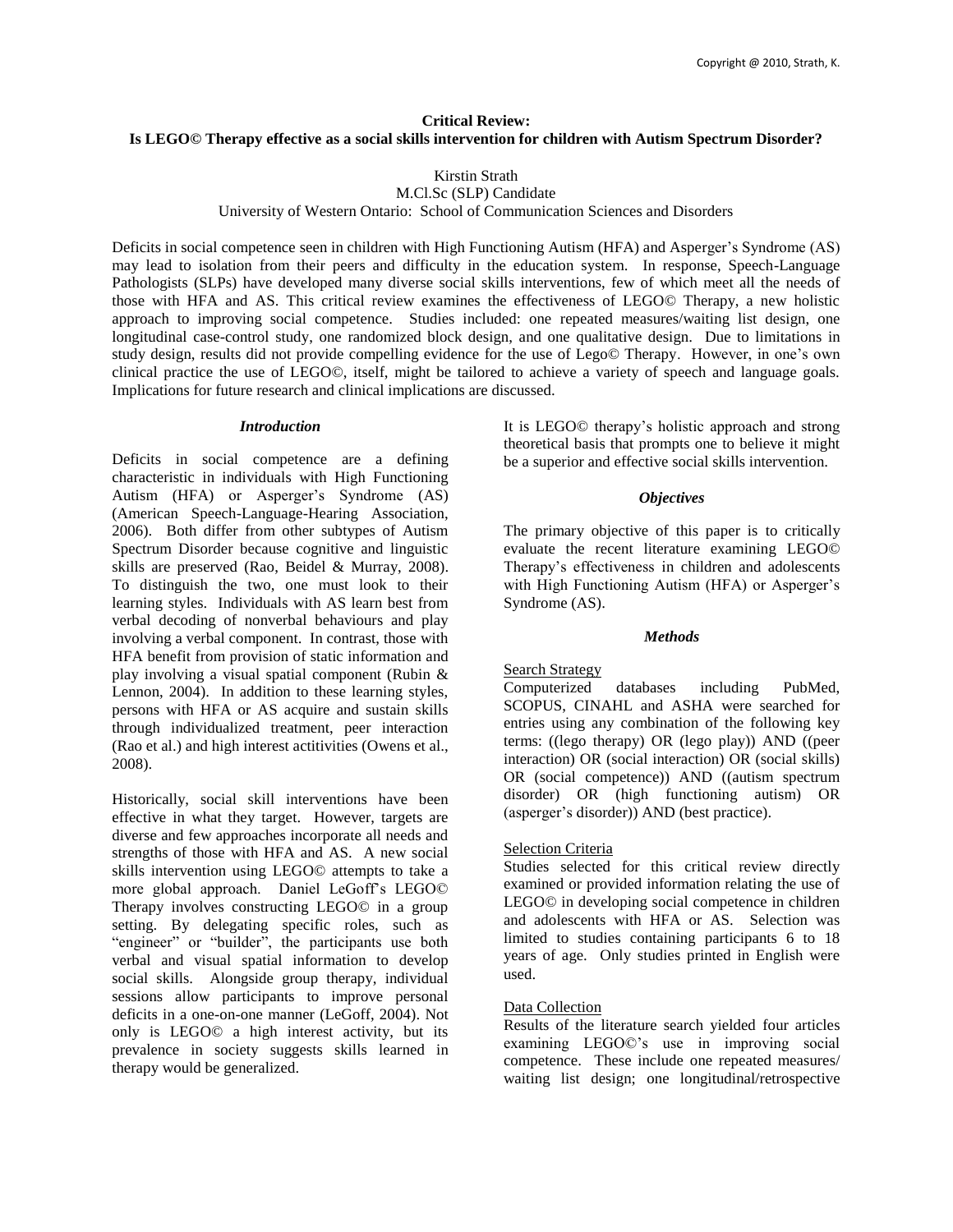# **Critical Review: Is LEGO© Therapy effective as a social skills intervention for children with Autism Spectrum Disorder?**

# Kirstin Strath

M.Cl.Sc (SLP) Candidate

University of Western Ontario: School of Communication Sciences and Disorders

Deficits in social competence seen in children with High Functioning Autism (HFA) and Asperger's Syndrome (AS) may lead to isolation from their peers and difficulty in the education system. In response, Speech-Language Pathologists (SLPs) have developed many diverse social skills interventions, few of which meet all the needs of those with HFA and AS. This critical review examines the effectiveness of LEGO© Therapy, a new holistic approach to improving social competence. Studies included: one repeated measures/waiting list design, one longitudinal case-control study, one randomized block design, and one qualitative design. Due to limitations in study design, results did not provide compelling evidence for the use of Lego© Therapy. However, in one's own clinical practice the use of LEGO©, itself, might be tailored to achieve a variety of speech and language goals. Implications for future research and clinical implications are discussed.

# *Introduction*

Deficits in social competence are a defining characteristic in individuals with High Functioning Autism (HFA) or Asperger's Syndrome (AS) (American Speech-Language-Hearing Association, 2006). Both differ from other subtypes of Autism Spectrum Disorder because cognitive and linguistic skills are preserved (Rao, Beidel & Murray, 2008). To distinguish the two, one must look to their learning styles. Individuals with AS learn best from verbal decoding of nonverbal behaviours and play involving a verbal component. In contrast, those with HFA benefit from provision of static information and play involving a visual spatial component (Rubin & Lennon, 2004). In addition to these learning styles, persons with HFA or AS acquire and sustain skills through individualized treatment, peer interaction (Rao et al.) and high interest actitivities (Owens et al., 2008).

Historically, social skill interventions have been effective in what they target. However, targets are diverse and few approaches incorporate all needs and strengths of those with HFA and AS. A new social skills intervention using LEGO© attempts to take a more global approach. Daniel LeGoff's LEGO© Therapy involves constructing LEGO© in a group setting. By delegating specific roles, such as "engineer" or "builder", the participants use both verbal and visual spatial information to develop social skills. Alongside group therapy, individual sessions allow participants to improve personal deficits in a one-on-one manner (LeGoff, 2004). Not only is LEGO© a high interest activity, but its prevalence in society suggests skills learned in therapy would be generalized.

It is LEGO© therapy's holistic approach and strong theoretical basis that prompts one to believe it might be a superior and effective social skills intervention.

# *Objectives*

The primary objective of this paper is to critically evaluate the recent literature examining LEGO© Therapy's effectiveness in children and adolescents with High Functioning Autism (HFA) or Asperger's Syndrome (AS).

#### *Methods*

# Search Strategy

Computerized databases including PubMed, SCOPUS, CINAHL and ASHA were searched for entries using any combination of the following key terms: ((lego therapy) OR (lego play)) AND ((peer interaction) OR (social interaction) OR (social skills) OR (social competence)) AND ((autism spectrum disorder) OR (high functioning autism) OR (asperger's disorder)) AND (best practice).

# Selection Criteria

Studies selected for this critical review directly examined or provided information relating the use of LEGO© in developing social competence in children and adolescents with HFA or AS. Selection was limited to studies containing participants 6 to 18 years of age. Only studies printed in English were used.

#### Data Collection

Results of the literature search yielded four articles examining LEGO©'s use in improving social competence. These include one repeated measures/ waiting list design; one longitudinal/retrospective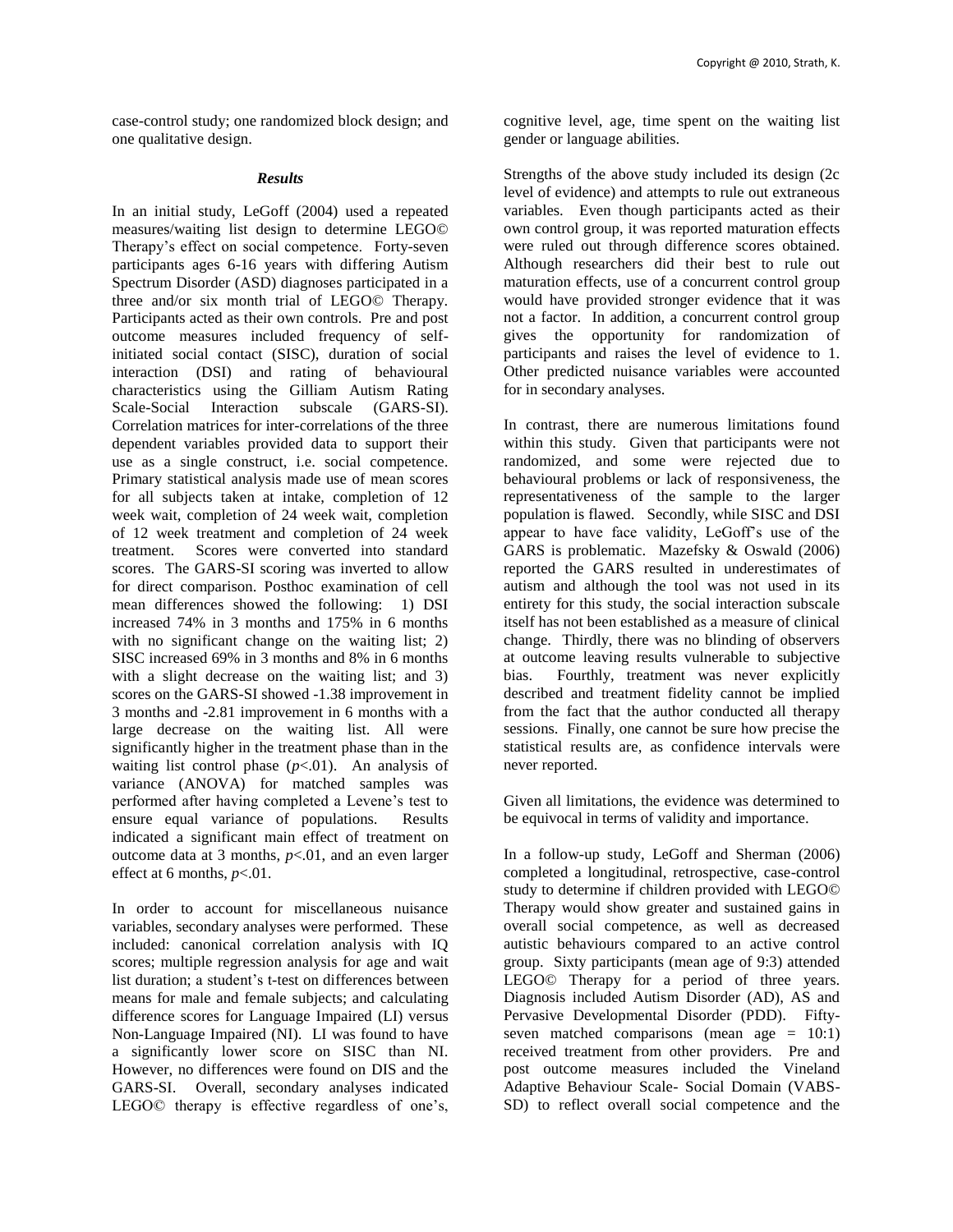case-control study; one randomized block design; and one qualitative design.

## *Results*

In an initial study, LeGoff (2004) used a repeated measures/waiting list design to determine LEGO© Therapy's effect on social competence. Forty-seven participants ages 6-16 years with differing Autism Spectrum Disorder (ASD) diagnoses participated in a three and/or six month trial of LEGO© Therapy. Participants acted as their own controls. Pre and post outcome measures included frequency of selfinitiated social contact (SISC), duration of social interaction (DSI) and rating of behavioural characteristics using the Gilliam Autism Rating Scale-Social Interaction subscale (GARS-SI). Correlation matrices for inter-correlations of the three dependent variables provided data to support their use as a single construct, i.e. social competence. Primary statistical analysis made use of mean scores for all subjects taken at intake, completion of 12 week wait, completion of 24 week wait, completion of 12 week treatment and completion of 24 week treatment. Scores were converted into standard scores. The GARS-SI scoring was inverted to allow for direct comparison. Posthoc examination of cell mean differences showed the following: 1) DSI increased 74% in 3 months and 175% in 6 months with no significant change on the waiting list; 2) SISC increased 69% in 3 months and 8% in 6 months with a slight decrease on the waiting list; and 3) scores on the GARS-SI showed -1.38 improvement in 3 months and -2.81 improvement in 6 months with a large decrease on the waiting list. All were significantly higher in the treatment phase than in the waiting list control phase  $(p<.01)$ . An analysis of variance (ANOVA) for matched samples was performed after having completed a Levene's test to ensure equal variance of populations. Results indicated a significant main effect of treatment on outcome data at 3 months,  $p<.01$ , and an even larger effect at 6 months, *p*<.01.

In order to account for miscellaneous nuisance variables, secondary analyses were performed. These included: canonical correlation analysis with IQ scores; multiple regression analysis for age and wait list duration; a student's t-test on differences between means for male and female subjects; and calculating difference scores for Language Impaired (LI) versus Non-Language Impaired (NI). LI was found to have a significantly lower score on SISC than NI. However, no differences were found on DIS and the GARS-SI. Overall, secondary analyses indicated LEGO© therapy is effective regardless of one's,

cognitive level, age, time spent on the waiting list gender or language abilities.

Strengths of the above study included its design (2c level of evidence) and attempts to rule out extraneous variables. Even though participants acted as their own control group, it was reported maturation effects were ruled out through difference scores obtained. Although researchers did their best to rule out maturation effects, use of a concurrent control group would have provided stronger evidence that it was not a factor. In addition, a concurrent control group gives the opportunity for randomization of participants and raises the level of evidence to 1. Other predicted nuisance variables were accounted for in secondary analyses.

In contrast, there are numerous limitations found within this study. Given that participants were not randomized, and some were rejected due to behavioural problems or lack of responsiveness, the representativeness of the sample to the larger population is flawed. Secondly, while SISC and DSI appear to have face validity, LeGoff's use of the GARS is problematic. Mazefsky & Oswald (2006) reported the GARS resulted in underestimates of autism and although the tool was not used in its entirety for this study, the social interaction subscale itself has not been established as a measure of clinical change. Thirdly, there was no blinding of observers at outcome leaving results vulnerable to subjective bias. Fourthly, treatment was never explicitly described and treatment fidelity cannot be implied from the fact that the author conducted all therapy sessions. Finally, one cannot be sure how precise the statistical results are, as confidence intervals were never reported.

Given all limitations, the evidence was determined to be equivocal in terms of validity and importance.

In a follow-up study, LeGoff and Sherman (2006) completed a longitudinal, retrospective, case-control study to determine if children provided with LEGO© Therapy would show greater and sustained gains in overall social competence, as well as decreased autistic behaviours compared to an active control group. Sixty participants (mean age of 9:3) attended LEGO© Therapy for a period of three years. Diagnosis included Autism Disorder (AD), AS and Pervasive Developmental Disorder (PDD). Fiftyseven matched comparisons (mean age  $= 10:1$ ) received treatment from other providers. Pre and post outcome measures included the Vineland Adaptive Behaviour Scale- Social Domain (VABS-SD) to reflect overall social competence and the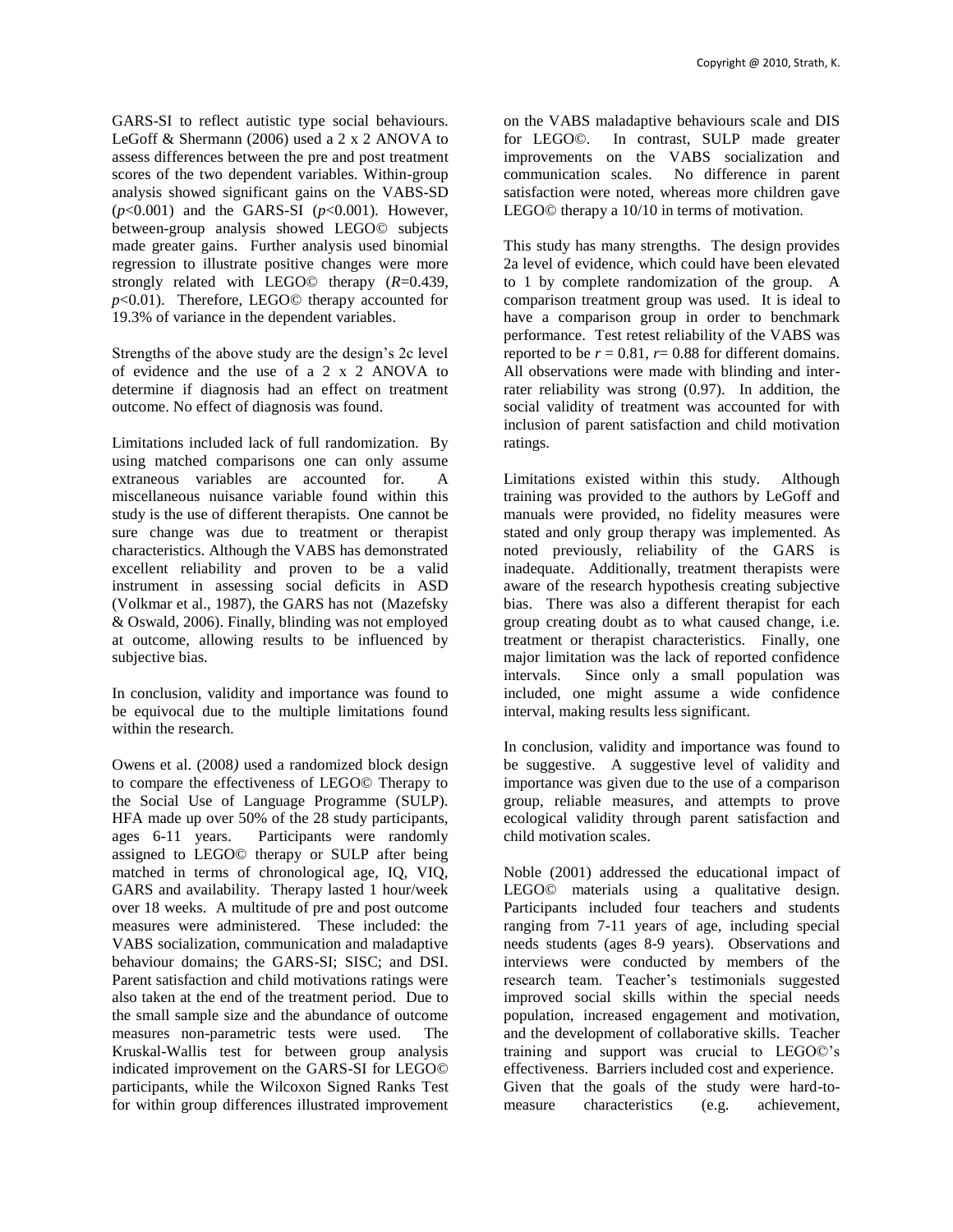GARS-SI to reflect autistic type social behaviours. LeGoff & Shermann (2006) used a 2 x 2 ANOVA to assess differences between the pre and post treatment scores of the two dependent variables. Within-group analysis showed significant gains on the VABS-SD (*p*<0.001) and the GARS-SI (*p*<0.001). However, between-group analysis showed LEGO© subjects made greater gains. Further analysis used binomial regression to illustrate positive changes were more strongly related with LEGO© therapy (*R*=0.439, *p*<0.01). Therefore, LEGO© therapy accounted for 19.3% of variance in the dependent variables.

Strengths of the above study are the design's 2c level of evidence and the use of a 2 x 2 ANOVA to determine if diagnosis had an effect on treatment outcome. No effect of diagnosis was found.

Limitations included lack of full randomization. By using matched comparisons one can only assume extraneous variables are accounted for. A miscellaneous nuisance variable found within this study is the use of different therapists. One cannot be sure change was due to treatment or therapist characteristics. Although the VABS has demonstrated excellent reliability and proven to be a valid instrument in assessing social deficits in ASD (Volkmar et al., 1987), the GARS has not (Mazefsky & Oswald, 2006). Finally, blinding was not employed at outcome, allowing results to be influenced by subjective bias.

In conclusion, validity and importance was found to be equivocal due to the multiple limitations found within the research.

Owens et al. (2008*)* used a randomized block design to compare the effectiveness of LEGO© Therapy to the Social Use of Language Programme (SULP). HFA made up over 50% of the 28 study participants, ages 6-11 years. Participants were randomly assigned to LEGO© therapy or SULP after being matched in terms of chronological age, IQ, VIQ, GARS and availability. Therapy lasted 1 hour/week over 18 weeks. A multitude of pre and post outcome measures were administered. These included: the VABS socialization, communication and maladaptive behaviour domains; the GARS-SI; SISC; and DSI. Parent satisfaction and child motivations ratings were also taken at the end of the treatment period. Due to the small sample size and the abundance of outcome measures non-parametric tests were used. The Kruskal-Wallis test for between group analysis indicated improvement on the GARS-SI for LEGO© participants, while the Wilcoxon Signed Ranks Test for within group differences illustrated improvement

on the VABS maladaptive behaviours scale and DIS for LEGO©. In contrast, SULP made greater improvements on the VABS socialization and communication scales. No difference in parent satisfaction were noted, whereas more children gave LEGO© therapy a 10/10 in terms of motivation.

This study has many strengths. The design provides 2a level of evidence, which could have been elevated to 1 by complete randomization of the group. A comparison treatment group was used. It is ideal to have a comparison group in order to benchmark performance. Test retest reliability of the VABS was reported to be  $r = 0.81$ ,  $r = 0.88$  for different domains. All observations were made with blinding and interrater reliability was strong (0.97). In addition, the social validity of treatment was accounted for with inclusion of parent satisfaction and child motivation ratings.

Limitations existed within this study. Although training was provided to the authors by LeGoff and manuals were provided, no fidelity measures were stated and only group therapy was implemented. As noted previously, reliability of the GARS is inadequate. Additionally, treatment therapists were aware of the research hypothesis creating subjective bias. There was also a different therapist for each group creating doubt as to what caused change, i.e. treatment or therapist characteristics. Finally, one major limitation was the lack of reported confidence intervals. Since only a small population was included, one might assume a wide confidence interval, making results less significant.

In conclusion, validity and importance was found to be suggestive. A suggestive level of validity and importance was given due to the use of a comparison group, reliable measures, and attempts to prove ecological validity through parent satisfaction and child motivation scales.

Noble (2001) addressed the educational impact of LEGO© materials using a qualitative design. Participants included four teachers and students ranging from 7-11 years of age, including special needs students (ages 8-9 years). Observations and interviews were conducted by members of the research team. Teacher's testimonials suggested improved social skills within the special needs population, increased engagement and motivation, and the development of collaborative skills. Teacher training and support was crucial to LEGO©'s effectiveness. Barriers included cost and experience. Given that the goals of the study were hard-tomeasure characteristics (e.g. achievement,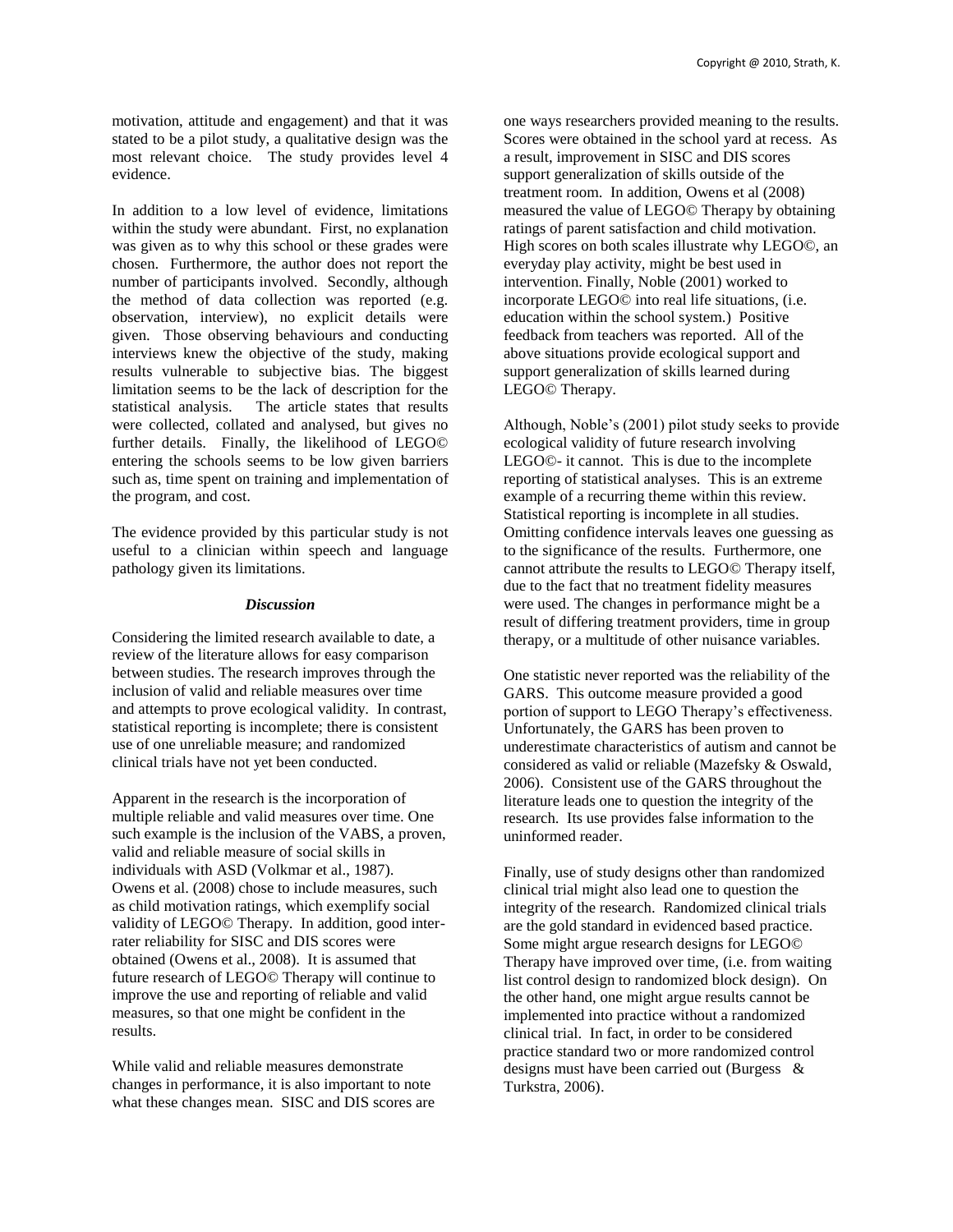motivation, attitude and engagement) and that it was stated to be a pilot study, a qualitative design was the most relevant choice. The study provides level 4 evidence.

In addition to a low level of evidence, limitations within the study were abundant. First, no explanation was given as to why this school or these grades were chosen. Furthermore, the author does not report the number of participants involved. Secondly, although the method of data collection was reported (e.g. observation, interview), no explicit details were given. Those observing behaviours and conducting interviews knew the objective of the study, making results vulnerable to subjective bias. The biggest limitation seems to be the lack of description for the statistical analysis. The article states that results were collected, collated and analysed, but gives no further details. Finally, the likelihood of LEGO© entering the schools seems to be low given barriers such as, time spent on training and implementation of the program, and cost.

The evidence provided by this particular study is not useful to a clinician within speech and language pathology given its limitations.

## *Discussion*

Considering the limited research available to date, a review of the literature allows for easy comparison between studies. The research improves through the inclusion of valid and reliable measures over time and attempts to prove ecological validity. In contrast, statistical reporting is incomplete; there is consistent use of one unreliable measure; and randomized clinical trials have not yet been conducted.

Apparent in the research is the incorporation of multiple reliable and valid measures over time. One such example is the inclusion of the VABS, a proven, valid and reliable measure of social skills in individuals with ASD (Volkmar et al., 1987). Owens et al. (2008) chose to include measures, such as child motivation ratings, which exemplify social validity of LEGO© Therapy. In addition, good interrater reliability for SISC and DIS scores were obtained (Owens et al., 2008). It is assumed that future research of LEGO© Therapy will continue to improve the use and reporting of reliable and valid measures, so that one might be confident in the results.

While valid and reliable measures demonstrate changes in performance, it is also important to note what these changes mean. SISC and DIS scores are

one ways researchers provided meaning to the results. Scores were obtained in the school yard at recess. As a result, improvement in SISC and DIS scores support generalization of skills outside of the treatment room. In addition, Owens et al (2008) measured the value of LEGO© Therapy by obtaining ratings of parent satisfaction and child motivation. High scores on both scales illustrate why LEGO©, an everyday play activity, might be best used in intervention. Finally, Noble (2001) worked to incorporate LEGO© into real life situations, (i.e. education within the school system.) Positive feedback from teachers was reported. All of the above situations provide ecological support and support generalization of skills learned during LEGO© Therapy.

Although, Noble's (2001) pilot study seeks to provide ecological validity of future research involving LEGO©- it cannot. This is due to the incomplete reporting of statistical analyses. This is an extreme example of a recurring theme within this review. Statistical reporting is incomplete in all studies. Omitting confidence intervals leaves one guessing as to the significance of the results. Furthermore, one cannot attribute the results to LEGO© Therapy itself, due to the fact that no treatment fidelity measures were used. The changes in performance might be a result of differing treatment providers, time in group therapy, or a multitude of other nuisance variables.

One statistic never reported was the reliability of the GARS. This outcome measure provided a good portion of support to LEGO Therapy's effectiveness. Unfortunately, the GARS has been proven to underestimate characteristics of autism and cannot be considered as valid or reliable (Mazefsky & Oswald, 2006). Consistent use of the GARS throughout the literature leads one to question the integrity of the research. Its use provides false information to the uninformed reader.

Finally, use of study designs other than randomized clinical trial might also lead one to question the integrity of the research. Randomized clinical trials are the gold standard in evidenced based practice. Some might argue research designs for LEGO© Therapy have improved over time, (i.e. from waiting list control design to randomized block design). On the other hand, one might argue results cannot be implemented into practice without a randomized clinical trial. In fact, in order to be considered practice standard two or more randomized control designs must have been carried out (Burgess & Turkstra, 2006).